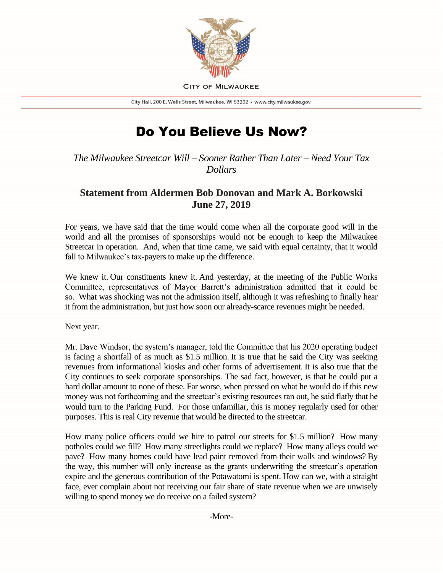

**CITY OF MILWAUKEE** 

City Hall, 200 E. Wells Street, Milwaukee, WI 53202 · www.city.milwaukee.gov

## Do You Believe Us Now?

*The Milwaukee Streetcar Will – Sooner Rather Than Later – Need Your Tax Dollars*

## **Statement from Aldermen Bob Donovan and Mark A. Borkowski June 27, 2019**

For years, we have said that the time would come when all the corporate good will in the world and all the promises of sponsorships would not be enough to keep the Milwaukee Streetcar in operation. And, when that time came, we said with equal certainty, that it would fall to Milwaukee's tax-payers to make up the difference.

We knew it. Our constituents knew it. And yesterday, at the meeting of the Public Works Committee, representatives of Mayor Barrett's administration admitted that it could be so. What was shocking was not the admission itself, although it was refreshing to finally hear it from the administration, but just how soon our already-scarce revenues might be needed.

Next year.

Mr. Dave Windsor, the system's manager, told the Committee that his 2020 operating budget is facing a shortfall of as much as \$1.5 million. It is true that he said the City was seeking revenues from informational kiosks and other forms of advertisement. It is also true that the City continues to seek corporate sponsorships. The sad fact, however, is that he could put a hard dollar amount to none of these. Far worse, when pressed on what he would do if this new money was not forthcoming and the streetcar's existing resources ran out, he said flatly that he would turn to the Parking Fund. For those unfamiliar, this is money regularly used for other purposes. This is real City revenue that would be directed to the streetcar.

How many police officers could we hire to patrol our streets for \$1.5 million? How many potholes could we fill? How many streetlights could we replace? How many alleys could we pave? How many homes could have lead paint removed from their walls and windows? By the way, this number will only increase as the grants underwriting the streetcar's operation expire and the generous contribution of the Potawatomi is spent. How can we, with a straight face, ever complain about not receiving our fair share of state revenue when we are unwisely willing to spend money we do receive on a failed system?